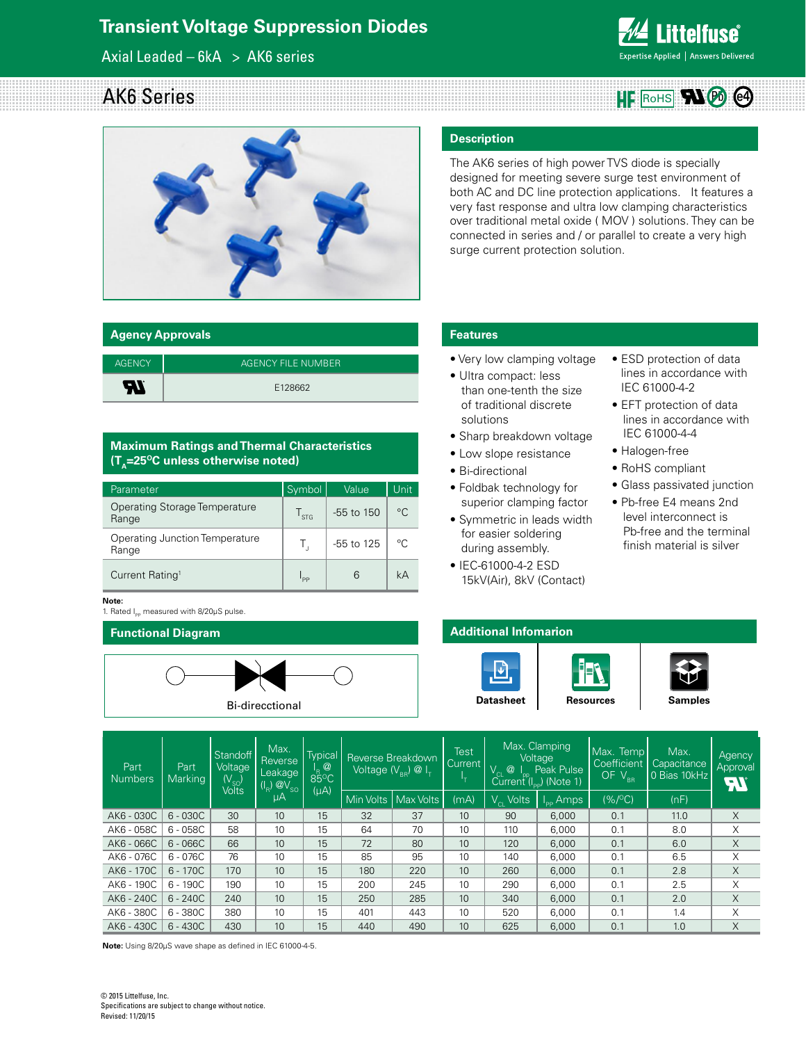# **Transient Voltage Suppression Diodes**

Axial Leaded –  $6kA > AK6$  series

# **Littelfuse**® Expertise Applied | Answers Delivered

## AK6 Series  $HF$  Rohs  $\mathbf{N}$   $\odot$   $\odot$



#### **Agency Approvals**

| <b>AGENCY</b> | AGENCY FILE NUMBER |
|---------------|--------------------|
| W             | E128662            |

#### **Maximum Ratings and Thermal Characteristics**   $(T_A=25^{\circ}C \text{ unless otherwise noted})$

| Parameter                                     | Symbol        | Value          | Unit        |
|-----------------------------------------------|---------------|----------------|-------------|
| <b>Operating Storage Temperature</b><br>Range | $\frac{1}{5}$ | $-55$ to $150$ | $^{\circ}C$ |
| Operating Junction Temperature<br>Range       | Τ,            | -55 to 125     | $^{\circ}C$ |
| Current Rating <sup>1</sup>                   | pp            |                | kА          |

#### **Note:**

1. Rated I<sub>pp</sub> measured with 8/20μS pulse.

#### **Functional Diagram**



#### **Description**

The AK6 series of high power TVS diode is specially designed for meeting severe surge test environment of both AC and DC line protection applications. It features a very fast response and ultra low clamping characteristics over traditional metal oxide ( MOV ) solutions. They can be connected in series and / or parallel to create a very high surge current protection solution.

## **Features**

- Very low clamping voltage
- Ultra compact: less than one-tenth the size of traditional discrete solutions
- Sharp breakdown voltage
- Low slope resistance
- Bi-directional
- Foldbak technology for superior clamping factor
- Symmetric in leads width for easier soldering during assembly.
- IEC-61000-4-2 ESD 15kV(Air), 8kV (Contact)
- ESD protection of data lines in accordance with IEC 61000-4-2
- EFT protection of data lines in accordance with IEC 61000-4-4
- Halogen-free
- RoHS compliant
- Glass passivated junction
- Pb-free E4 means 2nd level interconnect is Pb-free and the terminal finish material is silver



| Part<br><b>Numbers</b> | Part<br><b>Marking</b> | Standoff<br>Voltage<br>(V <sub>so</sub> )<br>Volts | Max.<br>Reverse<br>Leakage<br>$(I_R)$ $@V_{SO}$ | Typical<br>$\frac{1}{85}$ <sup>O</sup> C |             | Reverse Breakdown<br>Voltage (V $_{_{\mathrm{RR}} }$ ) @ I $_{_{\mathrm{T}}}$ . | Test<br>Current I | $^{\circledR}$            | Max. Clamping<br>Voltage<br>Peak Pulse<br>$\text{Current}^{\text{PL}}(\mathsf{I}_{\text{pp}})$ (Note 1) | Max. Temp<br>Coefficient<br>OF $V_{BR}$ | Max.<br>Capacitance<br>0 Bias 10kHz | Agency<br>Approval<br><b>FII</b> |
|------------------------|------------------------|----------------------------------------------------|-------------------------------------------------|------------------------------------------|-------------|---------------------------------------------------------------------------------|-------------------|---------------------------|---------------------------------------------------------------------------------------------------------|-----------------------------------------|-------------------------------------|----------------------------------|
|                        |                        |                                                    | μA                                              | $(\mu A)$                                | Min Volts I | Max Volts                                                                       | (mA)              | $\overline{V_{c1}}$ Volts | $I_{\text{pp}}$ Amps                                                                                    | $(% / ^{\circ}C)$                       | (nF)                                |                                  |
| AK6 - 030C             | $6 - 030C$             | 30                                                 | 10                                              | 15                                       | 32          | 37                                                                              | 10                | 90                        | 6,000                                                                                                   | 0.1                                     | 11.0                                | X                                |
| AK6 - 058C             | $6 - 058C$             | 58                                                 | 10                                              | 15                                       | 64          | 70                                                                              | 10                | 110                       | 6,000                                                                                                   | 0.1                                     | 8.0                                 | Χ                                |
| AK6 - 066C             | $6 - 066C$             | 66                                                 | 10                                              | 15                                       | 72          | 80                                                                              | 10                | 120                       | 6.000                                                                                                   | 0.1                                     | 6.0                                 | X                                |
| AK6 - 076C             | $6 - 076C$             | 76                                                 | 10                                              | 15                                       | 85          | 95                                                                              | 10                | 140                       | 6,000                                                                                                   | 0.1                                     | 6.5                                 | X                                |
| AK6 - 170C             | $6 - 170C$             | 170                                                | 10                                              | 15                                       | 180         | 220                                                                             | 10                | 260                       | 6,000                                                                                                   | 0.1                                     | 2.8                                 | X                                |
| AK6 - 190C             | $6 - 190C$             | 190                                                | 10                                              | 15                                       | 200         | 245                                                                             | 10                | 290                       | 6,000                                                                                                   | 0.1                                     | 2.5                                 | X                                |
| AK6 - 240C             | $6 - 240C$             | 240                                                | 10                                              | 15                                       | 250         | 285                                                                             | 10                | 340                       | 6,000                                                                                                   | 0.1                                     | 2.0                                 | X                                |
| AK6 - 380C             | $6 - 380C$             | 380                                                | 10                                              | 15                                       | 401         | 443                                                                             | 10                | 520                       | 6,000                                                                                                   | 0.1                                     | 1.4                                 | Χ                                |
| AK6 - 430C             | $6 - 430C$             | 430                                                | 10                                              | 15                                       | 440         | 490                                                                             | 10                | 625                       | 6,000                                                                                                   | 0.1                                     | 1.0                                 | X                                |

**Note:** Using 8/20µS wave shape as defined in IEC 61000-4-5.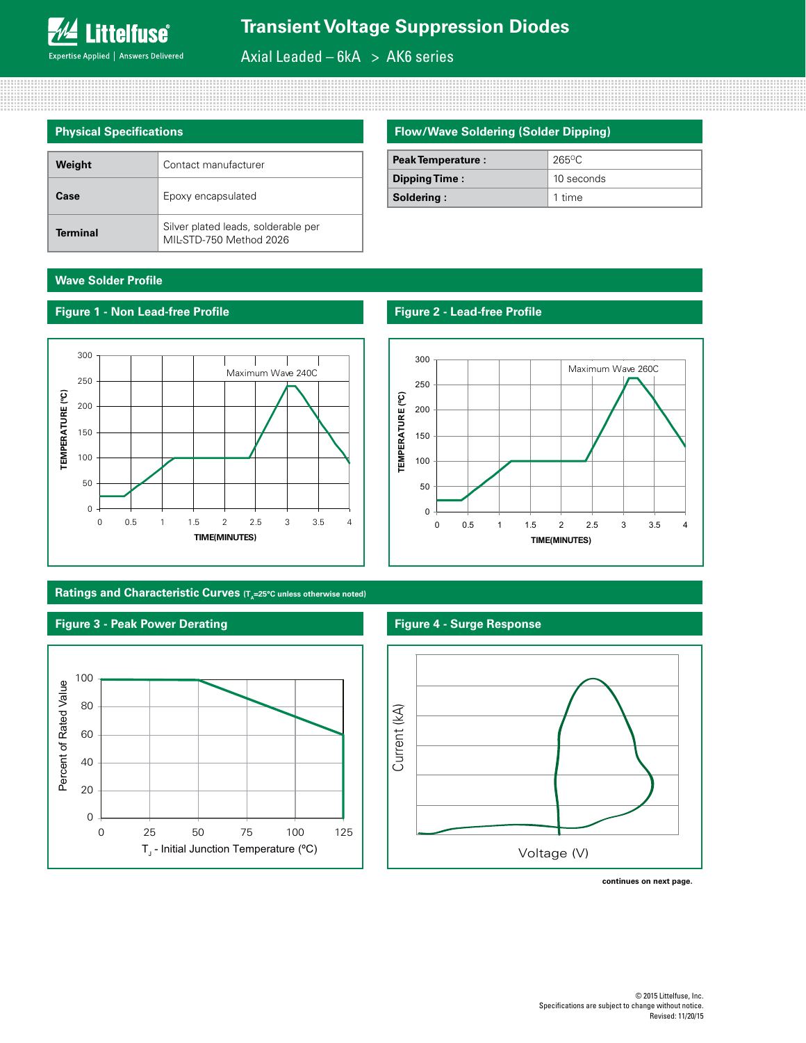Axial Leaded –  $6kA > AK6$  series

| <b>Physical Specifications</b> |                                                                |  |  |  |
|--------------------------------|----------------------------------------------------------------|--|--|--|
|                                |                                                                |  |  |  |
| Weight                         | Contact manufacturer                                           |  |  |  |
| Case                           | Epoxy encapsulated                                             |  |  |  |
| <b>Terminal</b>                | Silver plated leads, solderable per<br>MIL-STD-750 Method 2026 |  |  |  |

## **Flow/Wave Soldering (Solder Dipping)**

| <b>Peak Temperature:</b> | $265$ °C   |
|--------------------------|------------|
| Dipping Time:            | 10 seconds |
| Soldering:               | 1 time     |

## **Wave Solder Profile**

**Figure 1 - Non Lead-free Profile**



## **Ratings and Characteristic Curves (T<sub>A</sub>=25°C unless otherwise noted)**

#### **Figure 3 - Peak Power Derating**



## **Figure 2 - Lead-free Profile**



#### **Figure 4 - Surge Response**



**continues on next page.**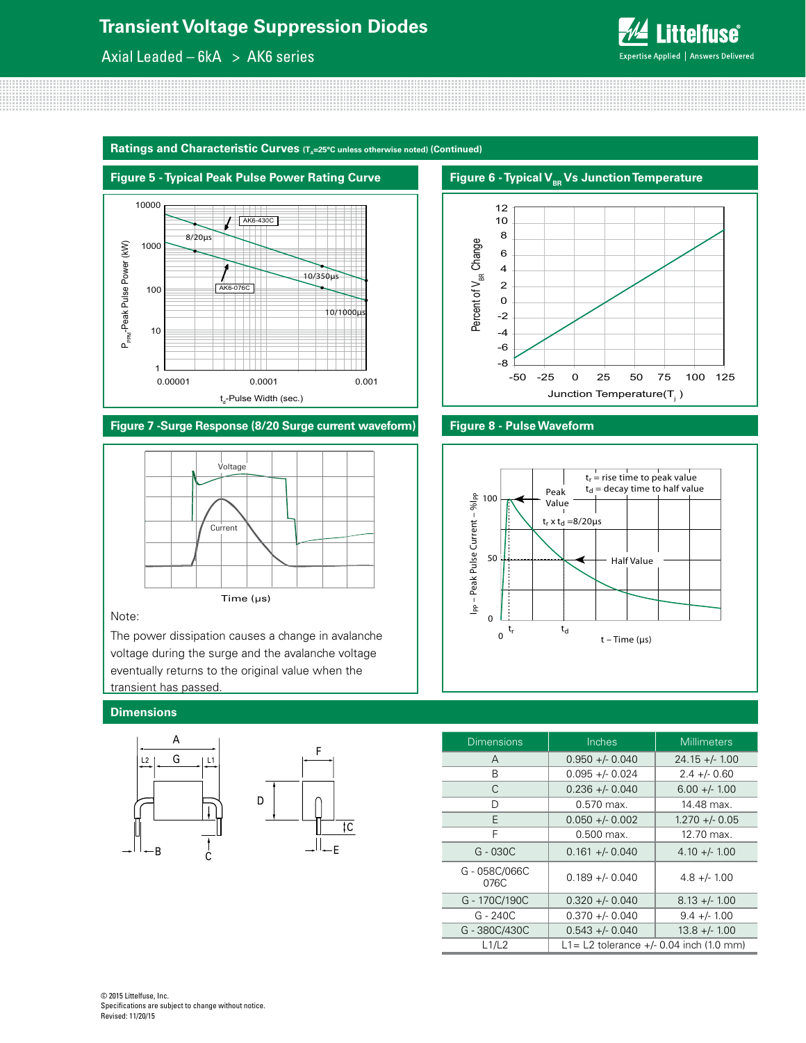# **Transient Voltage Suppression Diodes**

Axial Leaded –  $6kA > AK6$  series



Ratings and Characteristic Curves (T<sub>a</sub>=25°C unless otherwise noted) (Continued)



**Figure 7 -Surge Response (8/20 Surge current waveform) Figure 8 - Pulse Waveform**



#### Note:

The power dissipation causes a change in avalanche voltage during the surge and the avalanche voltage eventually returns to the original value when the transient has passed.

#### **Dimensions**



 $\overline{\mathfrak{c}}$ 





| <b>Dimensions</b>   | Inches                                     | <b>Millimeters</b> |  |
|---------------------|--------------------------------------------|--------------------|--|
| A                   | $0.950 +/- 0.040$                          | $24.15 + - 1.00$   |  |
| В                   | $0.095 + - 0.024$                          | $2.4 + - 0.60$     |  |
| C                   | $0.236 + - 0.040$                          | $6.00 +/- 1.00$    |  |
| D                   | $0.570$ max.                               | 14.48 max.         |  |
| E                   | $0.050 +/- 0.002$                          | $1.270 + - 0.05$   |  |
| F                   | $0.500$ max.                               | 12.70 max.         |  |
| $G - 030C$          | $0.161 +/- 0.040$                          | $4.10 + 1.00$      |  |
| G-058C/066C<br>076C | $0.189 + - 0.040$                          | $4.8 + - 1.00$     |  |
| G-170C/190C         | $0.320 + 0.040$                            | $8.13 +/- 1.00$    |  |
| $G - 240C$          | $0.370 +/- 0.040$                          | $9.4 +/- 1.00$     |  |
| G-380C/430C         | $0.543 + - 0.040$                          | $13.8 +/- 1.00$    |  |
| L1/L2               | L1 = L2 tolerance $+/- 0.04$ inch (1.0 mm) |                    |  |